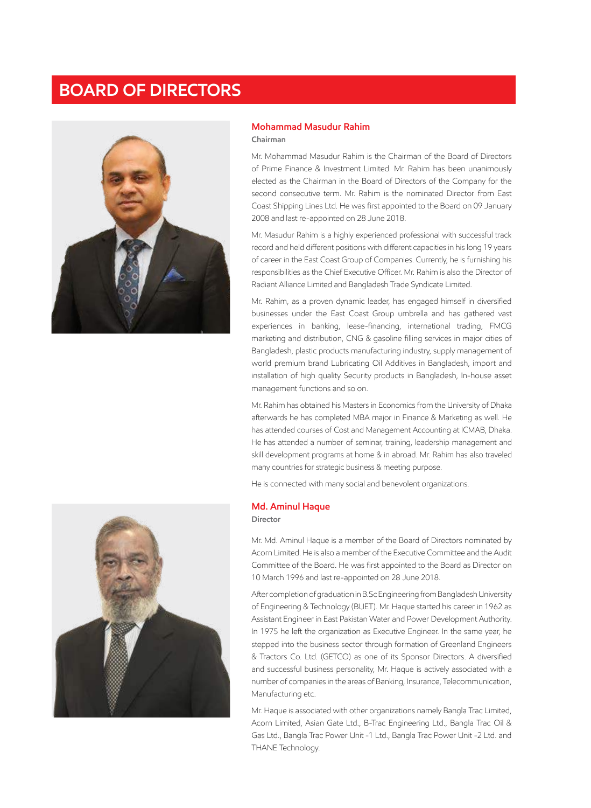# **BOARD OF DIRECTORS**



#### **Mohammad Masudur Rahim Chairman**

Mr. Mohammad Masudur Rahim is the Chairman of the Board of Directors of Prime Finance & Investment Limited. Mr. Rahim has been unanimously elected as the Chairman in the Board of Directors of the Company for the second consecutive term. Mr. Rahim is the nominated Director from East Coast Shipping Lines Ltd. He was first appointed to the Board on 09 January 2008 and last re-appointed on 28 June 2018.

Mr. Masudur Rahim is a highly experienced professional with successful track record and held different positions with different capacities in his long 19 years of career in the East Coast Group of Companies. Currently, he is furnishing his responsibilities as the Chief Executive Officer. Mr. Rahim is also the Director of Radiant Alliance Limited and Bangladesh Trade Syndicate Limited.

Mr. Rahim, as a proven dynamic leader, has engaged himself in diversified businesses under the East Coast Group umbrella and has gathered vast experiences in banking, lease-financing, international trading, FMCG marketing and distribution, CNG & gasoline filling services in major cities of Bangladesh, plastic products manufacturing industry, supply management of world premium brand Lubricating Oil Additives in Bangladesh, import and installation of high quality Security products in Bangladesh, In-house asset management functions and so on.

Mr. Rahim has obtained his Masters in Economics from the University of Dhaka afterwards he has completed MBA major in Finance & Marketing as well. He has attended courses of Cost and Management Accounting at ICMAB, Dhaka. He has attended a number of seminar, training, leadership management and skill development programs at home & in abroad. Mr. Rahim has also traveled many countries for strategic business & meeting purpose.

He is connected with many social and benevolent organizations.

#### **Md. Aminul Haque**

#### **Director**

Mr. Md. Aminul Haque is a member of the Board of Directors nominated by Acorn Limited. He is also a member of the Executive Committee and the Audit Committee of the Board. He was first appointed to the Board as Director on 10 March 1996 and last re-appointed on 28 June 2018.

After completion of graduation in B.Sc Engineering from Bangladesh University of Engineering & Technology (BUET). Mr. Haque started his career in 1962 as Assistant Engineer in East Pakistan Water and Power Development Authority. In 1975 he left the organization as Executive Engineer. In the same year, he stepped into the business sector through formation of Greenland Engineers & Tractors Co. Ltd. (GETCO) as one of its Sponsor Directors. A diversified and successful business personality, Mr. Haque is actively associated with a number of companies in the areas of Banking, Insurance, Telecommunication, Manufacturing etc.

Mr. Haque is associated with other organizations namely Bangla Trac Limited, Acorn Limited, Asian Gate Ltd., B-Trac Engineering Ltd., Bangla Trac Oil & Gas Ltd., Bangla Trac Power Unit -1 Ltd., Bangla Trac Power Unit -2 Ltd. and THANE Technology.

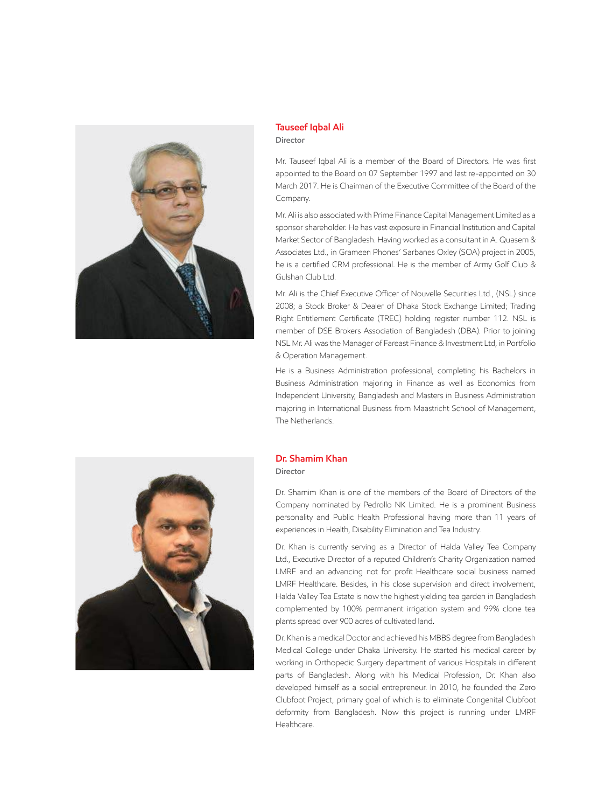

### **Tauseef Iqbal Ali Director**

Mr. Tauseef Iqbal Ali is a member of the Board of Directors. He was first appointed to the Board on 07 September 1997 and last re-appointed on 30 March 2017. He is Chairman of the Executive Committee of the Board of the Company.

Mr. Ali is also associated with Prime Finance Capital Management Limited as a sponsor shareholder. He has vast exposure in Financial Institution and Capital Market Sector of Bangladesh. Having worked as a consultant in A. Quasem & Associates Ltd., in Grameen Phones' Sarbanes Oxley (SOA) project in 2005, he is a certified CRM professional. He is the member of Army Golf Club & Gulshan Club Ltd.

Mr. Ali is the Chief Executive Officer of Nouvelle Securities Ltd., (NSL) since 2008; a Stock Broker & Dealer of Dhaka Stock Exchange Limited; Trading Right Entitlement Certificate (TREC) holding register number 112. NSL is member of DSE Brokers Association of Bangladesh (DBA). Prior to joining NSL Mr. Ali was the Manager of Fareast Finance & Investment Ltd, in Portfolio & Operation Management.

He is a Business Administration professional, completing his Bachelors in Business Administration majoring in Finance as well as Economics from Independent University, Bangladesh and Masters in Business Administration majoring in International Business from Maastricht School of Management, The Netherlands.



## **Dr. Shamim Khan**

**Director**

Dr. Shamim Khan is one of the members of the Board of Directors of the Company nominated by Pedrollo NK Limited. He is a prominent Business personality and Public Health Professional having more than 11 years of experiences in Health, Disability Elimination and Tea Industry.

Dr. Khan is currently serving as a Director of Halda Valley Tea Company Ltd., Executive Director of a reputed Children's Charity Organization named LMRF and an advancing not for profit Healthcare social business named LMRF Healthcare. Besides, in his close supervision and direct involvement, Halda Valley Tea Estate is now the highest yielding tea garden in Bangladesh complemented by 100% permanent irrigation system and 99% clone tea plants spread over 900 acres of cultivated land.

Dr. Khan is a medical Doctor and achieved his MBBS degree from Bangladesh Medical College under Dhaka University. He started his medical career by working in Orthopedic Surgery department of various Hospitals in different parts of Bangladesh. Along with his Medical Profession, Dr. Khan also developed himself as a social entrepreneur. In 2010, he founded the Zero Clubfoot Project, primary goal of which is to eliminate Congenital Clubfoot deformity from Bangladesh. Now this project is running under LMRF Healthcare.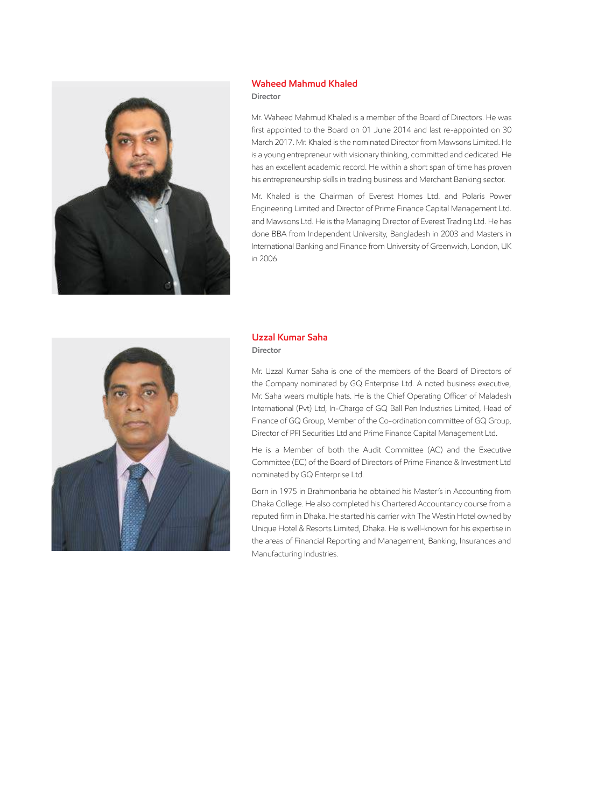

#### **Waheed Mahmud Khaled Director**

Mr. Waheed Mahmud Khaled is a member of the Board of Directors. He was first appointed to the Board on 01 June 2014 and last re-appointed on 30 March 2017. Mr. Khaled is the nominated Director from Mawsons Limited. He is a young entrepreneur with visionary thinking, committed and dedicated. He has an excellent academic record. He within a short span of time has proven his entrepreneurship skills in trading business and Merchant Banking sector.

Mr. Khaled is the Chairman of Everest Homes Ltd. and Polaris Power Engineering Limited and Director of Prime Finance Capital Management Ltd. and Mawsons Ltd. He is the Managing Director of Everest Trading Ltd. He has done BBA from Independent University, Bangladesh in 2003 and Masters in International Banking and Finance from University of Greenwich, London, UK in 2006.



#### **Uzzal Kumar Saha Director**

Mr. Uzzal Kumar Saha is one of the members of the Board of Directors of the Company nominated by GQ Enterprise Ltd. A noted business executive, Mr. Saha wears multiple hats. He is the Chief Operating Officer of Maladesh International (Pvt) Ltd, In-Charge of GQ Ball Pen Industries Limited, Head of Finance of GQ Group, Member of the Co-ordination committee of GQ Group, Director of PFI Securities Ltd and Prime Finance Capital Management Ltd.

He is a Member of both the Audit Committee (AC) and the Executive Committee (EC) of the Board of Directors of Prime Finance & Investment Ltd nominated by GQ Enterprise Ltd.

Born in 1975 in Brahmonbaria he obtained his Master's in Accounting from Dhaka College. He also completed his Chartered Accountancy course from a reputed firm in Dhaka. He started his carrier with The Westin Hotel owned by Unique Hotel & Resorts Limited, Dhaka. He is well-known for his expertise in the areas of Financial Reporting and Management, Banking, Insurances and Manufacturing Industries.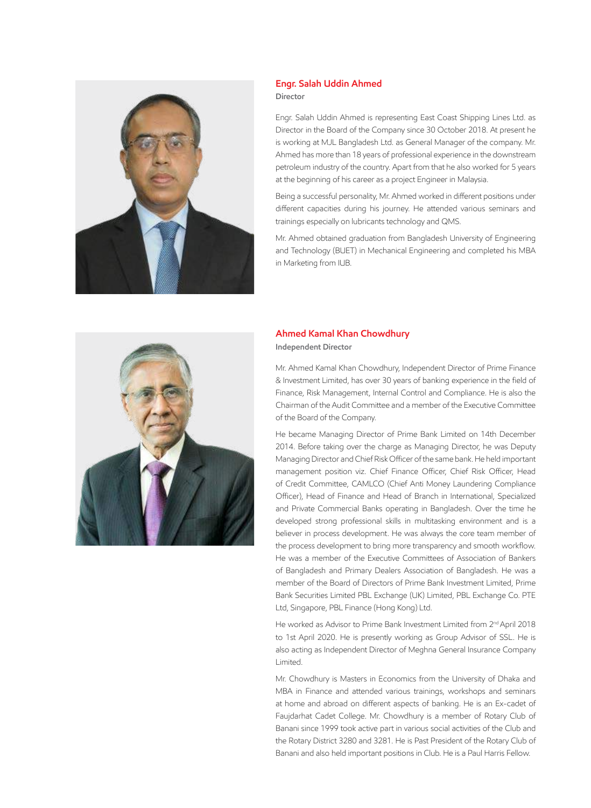

## **Engr. Salah Uddin Ahmed Director**

Engr. Salah Uddin Ahmed is representing East Coast Shipping Lines Ltd. as Director in the Board of the Company since 30 October 2018. At present he is working at MJL Bangladesh Ltd. as General Manager of the company. Mr. Ahmed has more than 18 years of professional experience in the downstream petroleum industry of the country. Apart from that he also worked for 5 years at the beginning of his career as a project Engineer in Malaysia.

Being a successful personality, Mr. Ahmed worked in different positions under different capacities during his journey. He attended various seminars and trainings especially on lubricants technology and QMS.

Mr. Ahmed obtained graduation from Bangladesh University of Engineering and Technology (BUET) in Mechanical Engineering and completed his MBA in Marketing from IUB.



## **Ahmed Kamal Khan Chowdhury Independent Director**

Mr. Ahmed Kamal Khan Chowdhury, Independent Director of Prime Finance & Investment Limited, has over 30 years of banking experience in the field of Finance, Risk Management, Internal Control and Compliance. He is also the Chairman of the Audit Committee and a member of the Executive Committee of the Board of the Company.

He became Managing Director of Prime Bank Limited on 14th December 2014. Before taking over the charge as Managing Director, he was Deputy Managing Director and Chief Risk Officer of the same bank. He held important management position viz. Chief Finance Officer, Chief Risk Officer, Head of Credit Committee, CAMLCO (Chief Anti Money Laundering Compliance Officer), Head of Finance and Head of Branch in International, Specialized and Private Commercial Banks operating in Bangladesh. Over the time he developed strong professional skills in multitasking environment and is a believer in process development. He was always the core team member of the process development to bring more transparency and smooth workflow. He was a member of the Executive Committees of Association of Bankers of Bangladesh and Primary Dealers Association of Bangladesh. He was a member of the Board of Directors of Prime Bank Investment Limited, Prime Bank Securities Limited PBL Exchange (UK) Limited, PBL Exchange Co. PTE Ltd, Singapore, PBL Finance (Hong Kong) Ltd.

He worked as Advisor to Prime Bank Investment Limited from 2<sup>nd</sup> April 2018 to 1st April 2020. He is presently working as Group Advisor of SSL. He is also acting as Independent Director of Meghna General Insurance Company Limited.

Mr. Chowdhury is Masters in Economics from the University of Dhaka and MBA in Finance and attended various trainings, workshops and seminars at home and abroad on different aspects of banking. He is an Ex-cadet of Faujdarhat Cadet College. Mr. Chowdhury is a member of Rotary Club of Banani since 1999 took active part in various social activities of the Club and the Rotary District 3280 and 3281. He is Past President of the Rotary Club of Banani and also held important positions in Club. He is a Paul Harris Fellow.